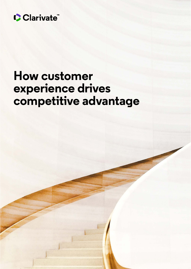

# **How customer experience drives competitive advantage**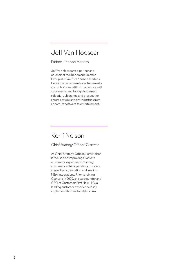# Jeff Van Hoosear

Partner, Knobbe Martens

Jeff Van Hoosear is a partner and co-chair of the Trademark Practice Group at IP law firm Knobbe Martens. He focuses on international trademarks and unfair competition matters, as well as domestic and foreign trademark selection, clearance and prosecution across a wide range of industries from apparel to software to entertainment.

# Kerri Nelson

Chief Strategy Officer, Clarivate

As Chief Strategy Officer, Kerri Nelson is focused on improving Clarivate customers' experience, building customer-centric operational models across the organization and leading M&A integrations. Prior to joining Clarivate in 2020, she was founder and CEO of CustomersFirst Now LLC, a leading customer experience (CX) implementation and analytics firm.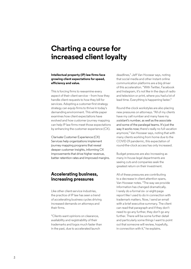# **Charting a course for increased client loyalty**

#### **Intellectual property (IP) law firms face growing client expectations for speed, efficiency and value.**

This is forcing firms to reexamine every aspect of their client service – from how they handle client requests to how they bill for services. Adopting a customer-first strategy strategy can equip firms to thrive in today's demanding environment. This white paper examines how client expectations have evolved and how customer journey mapping can help IP law firms meet those expectations by enhancing the customer experience (CX).

Clarivate Customer Experience (CX) Services help organizations implement journey mapping programs that reveal deeper customer insights, informing CX improvements that drive higher revenue, better retention rates and improved margins.

## **Accelerating business, increasing pressures**

Like other client-service industries, the practice of IP law has seen a trend of accelerating business cycles driving increased demands on attorneys and their firms.

"Clients want opinions on clearance, availability and registrability of their trademarks and logos much faster than in the past, due to accelerated launch

deadlines," Jeff Van Hoosear says, noting that social media and other instant online communication platforms are a big driver of this acceleration. "With Twitter, Facebook and Instagram, it's not like in the days of radio and television or print, where you had a lot of lead time. Everything is happening faster."

Round-the-clock workstyles are also placing new pressures on attorneys. "All of my clients have my cell number and many have my assistant's number, as well as the associate and some of the paralegal teams. It's just the way it works now; there's really no full vacation anymore," Van Hoosear says, noting that with many clients working from home due to the COVID-19 pandemic, this expectation of round-the-clock access has only increased.

Budget pressures are also increasing as many in-house legal departments are seeing cuts and companies seek the greatest return on their investment.

All of these pressures are contributing to a decrease in client attention spans, Van Hoosear notes. "The way we provide information has changed dramatically. I rarely do a formal six- or eight-page report like I used to do in connection with trademark matters. Now, I send an email with a brief executive summary. The client can read that paragraph and if they don't need to go any further, they don't go any further. There will be some further detail and particularly some things I want to point out that someone will review, hopefully, in connection with it," he explains.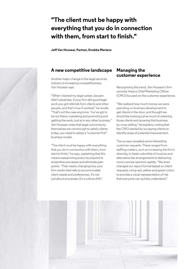# **"The client must be happy with everything that you do in connection with them, from start to finish."**

**Jeff Van Hoosear, Partner, Knobbe Martens**

### **A new competitive landscape**

Another major change in the legal services industry is increasing competitiveness, Van Hoosear says.

"When I started my legal career, lawyers didn't advertise. If your firm did good legal work you got referrals from clients and other people, and that's how it worked," he recalls. "That's not the case anymore. You've got to be out there, marketing and promoting and getting the work, just as in any other business." Van Hoosear notes that legal outcomes by themselves are not enough to satisfy clients today; you need to adopt a "customer-first" business model.

"The client must be happy with everything that you do in connection with them, from start to finish," he says, explaining that this means reexamining every touchpoint to streamline processes and eliminate pain points. "That means changing how your firm works internally to accommodate client needs and preferences. It's not just about processes; it's a culture shift."

#### **Managing the customer experience**

Recognizing this trend, Van Hoosear's firm recently hired a Chief Marketing Officer (CMO) focused on the customer experience.

"We realized how much money we were spending on business development to get clients in the door, and thought we should be looking just as much at retaining those clients and growing that business by cross-selling," he explains, noting that the CMO started by surveying clients to identify areas of potential improvement.

The surveys revealed some interesting customer requests. These ranged from staffing matters, such as increasing the firm's diversity, to faster submittal of invoices and alternative fee arrangements to delivering more concise opinions rapidly. "We even changed our report format based on client requests, using red, yellow and green colors to provide a visual representation of risk that everyone can quickly understand."



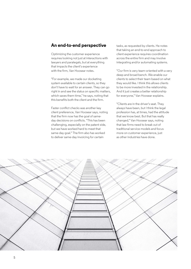#### **An end-to-end perspective**

Optimizing the customer experience requires looking not just at interactions with lawyers and paralegals, but at everything that impacts the client's experience with the firm, Van Hoosear notes.

"For example, we made our docketing system available to certain clients, so they don't have to wait for an answer. They can go right in and see the status on specific matters, which saves them time," he says, noting that this benefits both the client and the firm.

Faster conflict checks was another key client preference, Van Hoosear says, noting that the firm now has the goal of sameday decisions on conflicts. "This has been challenging, especially on the patent side, but we have worked hard to meet that same-day goal." The firm also has worked to deliver same-day invoicing for certain

tasks, as requested by clients. He notes that taking an end-to-end approach to client experience requires coordination across the entire firm and may involve integrating and/or automating systems.

"Our firm is very team-oriented with a very deep and broad bench. We enable our clients to select their team based on what they would like. I think this allows clients to be more invested in the relationship. And it just creates a better relationship for everyone," Van Hoosear explains.

"Clients are in the driver's seat. They always have been, but I think the legal profession has, at times, had the attitude that we know best. But that has really changed," Van Hoosear says, noting that law firms need to break out of traditional service models and focus more on customer experience, just as other industries have done.

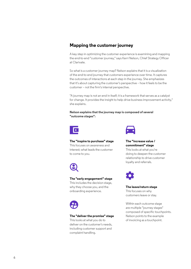## **Mapping the customer journey**

A key step in optimizing the customer experience is examining and mapping the end-to-end "customer journey," says Kerri Nelson, Chief Strategy Officer at Clarivate.

So what is a customer journey map? Nelson explains that it is a visualization of the end-to-end journey that customers experience over time. It captures the outcomes of interactions at each step in the journey. She emphasizes that it's about capturing the customer's perspective – how it feels to be the customer – not the firm's internal perspective.

"A journey map is not an end in itself; it is a framework that serves as a catalyst for change. It provides the insight to help drive business improvement activity," she explains.

**Nelson explains that the journey map is composed of several "outcome stages":**



#### **The "inspire to purchase" stage**

This focuses on awareness and interest; what leads the customer to come to you.



#### **The "early engagement" stage**

This includes the decision stage, why they choose you, and the onboarding experience.



#### **The "deliver the promise" stage**

This looks at what you do to deliver on the customer's needs, including customer support and complaint handling.



**The "increase value / commitment" stage**  This looks at what you're doing to deepen the customer relationship to drive customer loyalty and referrals.



**The leave/return stage**  This focuses on why customers leave or stay.

Within each outcome stage are multiple "journey stages" composed of specific touchpoints. Nelson points to the example of invoicing as a touchpoint.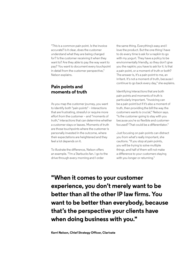"This is a common pain point. Is the invoice accurate? Is it clear, does the customer understand what they are being charged for? Is the customer receiving it when they want to? Are they able to pay the way want to pay? You want to document every touchpoint in detail from the customer perspective," Nelson explains.

## **Pain points and moments of truth**

As you map the customer journey, you want to identify both "pain points" – interactions that are frustrating, stressful or require more effort from the customer – and "moments of truth," interactions that can determine whether a customer stays or leaves. Moments of truth are those touchpoints where the customer is personally invested in the outcome, where their expectations are heightened and they feel a lot depends on it.

To illustrate the difference, Nelson offers an example. "I'm a Starbucks fan. I go to the drive through every morning and I order

the same thing. Everything's easy and I love the product. But the one thing I have to do every time is ask for a napkin to go with my yogurt. They have a policy to be environmentally friendly, so they don't give you the napkin; you have to ask for it. Is that a pain point, or a moment of truth or both? The answer is, it's a pain point to me, an irritant. It's not a moment of truth, because I continue to go back every day," she explains.

Identifying interactions that are both pain points and moments of truth is particularly important. "Invoicing can be a pain point but if it's also a moment of truth, then providing the bill the way the customers wants is crucial," Nelson says. "Is the customer going to stay with you because you're so flexible and customerfocused? That could be a differentiator."

Just focusing on pain points can distract you from what's really important, she cautions. "If you stop at pain points, you will be trying to solve multiple things, and half of them will not make a difference to your customers staying with you longer or returning."

**"When it comes to your customer experience, you don't merely want to be better than all the other IP law firms. You want to be better than everybody, because that's the perspective your clients have when doing business with you."**

**Kerri Nelson, Chief Strategy Officer, Clarivate**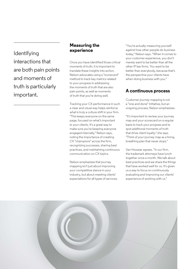Identifying interactions that are both pain points and moments of truth is particularly important.

## **Measuring the experience**

Once you have identified those critical moments of truth, it is important to translate these insights into action. Nelson advocates using a "scorecard" method to track key metrics related to your progress in addressing the moments of truth that are also pain points, as well as moments of truth that you're doing well.

Tracking your CX performance in such a clear and visual way helps reinforce what is truly a culture shift in your firm. "This keeps everyone on the same page, focused on what's important to your clients. It's a great way to make sure you're keeping everyone engaged internally," Nelson says, noting the importance of creating CX "champions" across the firm, recognizing successes, sharing best practices, and maintaining continuous communication on CX topics.

Nelson emphasizes that journey mapping isn't just about improving your competitive stance in your industry, but about meeting clients' expectations for all types of services. "You're actually measuring yourself against how other people do business today," Nelson says. "When it comes to your customer experience, you don't merely want to be better than all the other IP law firms. You want to be better than everybody, because that's the perspective your clients have when doing business with you."

## **A continuous process**

Customer journey mapping is not a "one and done" initiative, but an ongoing process, Nelson emphasizes.

"It's important to review your journey map and your scorecard on a regular basis to track your progress and to spot additional moments of truth that drive client loyalty," she says. "Think of your journey map as a living, breathing plan that never stops."

Van Hoosear agrees. "In our firm, the trademark attorneys have lunch together once a month. We talk about best practices and we share the things that have worked well for us. It's given us a way to focus on continuously evaluating and improving our clients' experience of working with us."